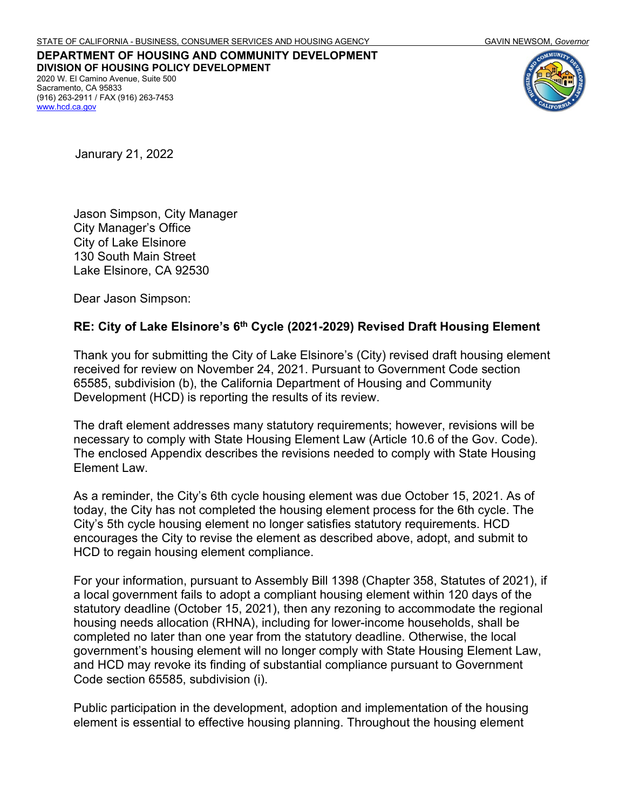**DEPARTMENT OF HOUSING AND COMMUNITY DEVELOPMENT DIVISION OF HOUSING POLICY DEVELOPMENT** 2020 W. El Camino Avenue, Suite 500 Sacramento, CA 95833 (916) 263-2911 / FAX (916) 263-7453 [www.hcd.ca.gov](http://www.hcd.ca.gov/)



Janurary 21, 2022

Jason Simpson, City Manager City Manager's Office City of Lake Elsinore 130 South Main Street Lake Elsinore, CA 92530

Dear Jason Simpson:

#### **RE: City of Lake Elsinore's 6th Cycle (2021-2029) Revised Draft Housing Element**

Thank you for submitting the City of Lake Elsinore's (City) revised draft housing element received for review on November 24, 2021. Pursuant to Government Code section 65585, subdivision (b), the California Department of Housing and Community Development (HCD) is reporting the results of its review.

The draft element addresses many statutory requirements; however, revisions will be necessary to comply with State Housing Element Law (Article 10.6 of the Gov. Code). The enclosed Appendix describes the revisions needed to comply with State Housing Element Law.

As a reminder, the City's 6th cycle housing element was due October 15, 2021. As of today, the City has not completed the housing element process for the 6th cycle. The City's 5th cycle housing element no longer satisfies statutory requirements. HCD encourages the City to revise the element as described above, adopt, and submit to HCD to regain housing element compliance.

For your information, pursuant to Assembly Bill 1398 (Chapter 358, Statutes of 2021), if a local government fails to adopt a compliant housing element within 120 days of the statutory deadline (October 15, 2021), then any rezoning to accommodate the regional housing needs allocation (RHNA), including for lower-income households, shall be completed no later than one year from the statutory deadline. Otherwise, the local government's housing element will no longer comply with State Housing Element Law, and HCD may revoke its finding of substantial compliance pursuant to Government Code section 65585, subdivision (i).

Public participation in the development, adoption and implementation of the housing element is essential to effective housing planning. Throughout the housing element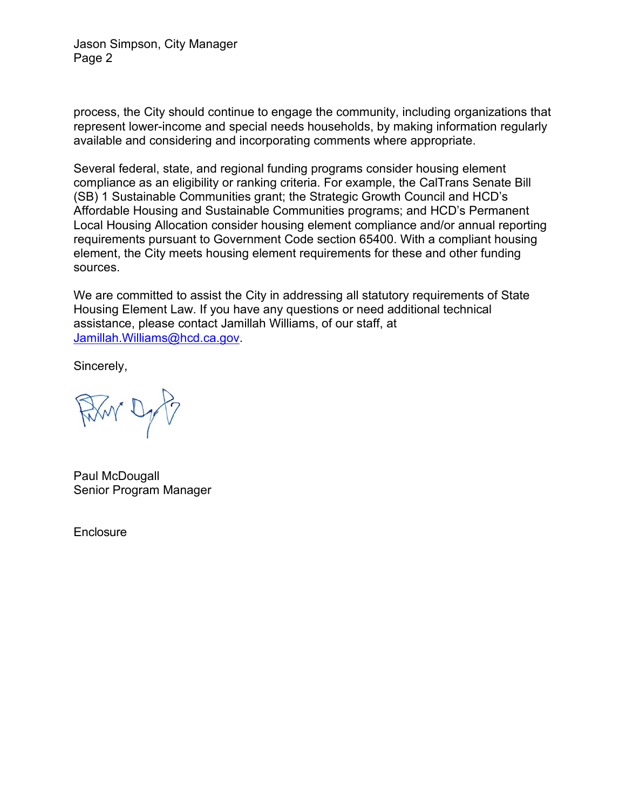Jason Simpson, City Manager Page 2

process, the City should continue to engage the community, including organizations that represent lower-income and special needs households, by making information regularly available and considering and incorporating comments where appropriate.

Several federal, state, and regional funding programs consider housing element compliance as an eligibility or ranking criteria. For example, the CalTrans Senate Bill (SB) 1 Sustainable Communities grant; the Strategic Growth Council and HCD's Affordable Housing and Sustainable Communities programs; and HCD's Permanent Local Housing Allocation consider housing element compliance and/or annual reporting requirements pursuant to Government Code section 65400. With a compliant housing element, the City meets housing element requirements for these and other funding sources.

We are committed to assist the City in addressing all statutory requirements of State Housing Element Law. If you have any questions or need additional technical assistance, please contact Jamillah Williams, of our staff, at [Jamillah.Williams@hcd.ca.gov.](mailto:Jamillah.Williams@hcd.ca.gov)

Sincerely,

Firm Dyf

Paul McDougall Senior Program Manager

**Enclosure**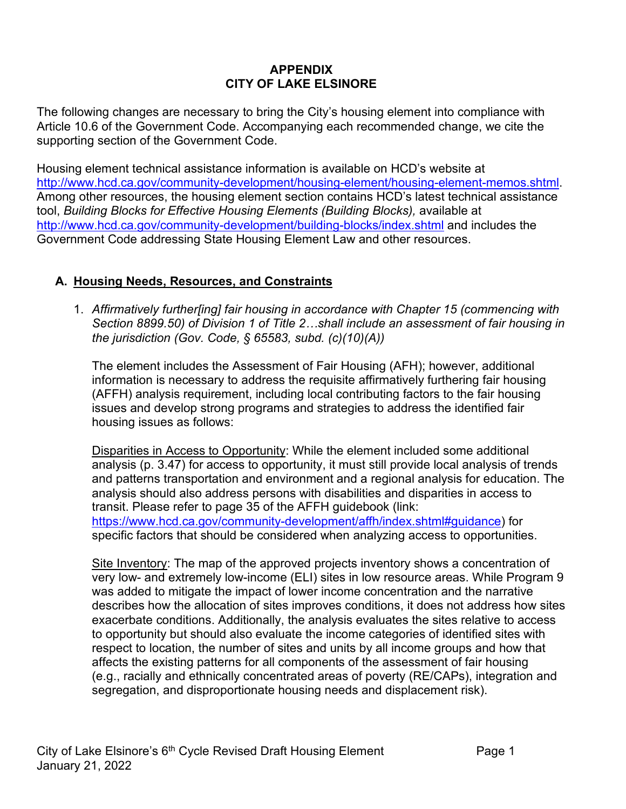### **APPENDIX CITY OF LAKE ELSINORE**

The following changes are necessary to bring the City's housing element into compliance with Article 10.6 of the Government Code. Accompanying each recommended change, we cite the supporting section of the Government Code.

Housing element technical assistance information is available on HCD's website at [http://www.hcd.ca.gov/community-development/housing-element/housing-element-memos.shtml.](http://www.hcd.ca.gov/community-development/housing-element/housing-element-memos.shtml) Among other resources, the housing element section contains HCD's latest technical assistance tool, *Building Blocks for Effective Housing Elements (Building Blocks),* available at <http://www.hcd.ca.gov/community-development/building-blocks/index.shtml> and includes the Government Code addressing State Housing Element Law and other resources.

### **A. Housing Needs, Resources, and Constraints**

1. *Affirmatively further[ing] fair housing in accordance with Chapter 15 (commencing with Section 8899.50) of Division 1 of Title 2…shall include an assessment of fair housing in the jurisdiction (Gov. Code, § 65583, subd. (c)(10)(A))*

The element includes the Assessment of Fair Housing (AFH); however, additional information is necessary to address the requisite affirmatively furthering fair housing (AFFH) analysis requirement, including local contributing factors to the fair housing issues and develop strong programs and strategies to address the identified fair housing issues as follows:

Disparities in Access to Opportunity: While the element included some additional analysis (p. 3.47) for access to opportunity, it must still provide local analysis of trends and patterns transportation and environment and a regional analysis for education. The analysis should also address persons with disabilities and disparities in access to transit. Please refer to page 35 of the AFFH guidebook (link: [https://www.hcd.ca.gov/community-development/affh/index.shtml#guidance\)](https://www.hcd.ca.gov/community-development/affh/index.shtml#guidance) for specific factors that should be considered when analyzing access to opportunities.

Site Inventory: The map of the approved projects inventory shows a concentration of very low- and extremely low-income (ELI) sites in low resource areas. While Program 9 was added to mitigate the impact of lower income concentration and the narrative describes how the allocation of sites improves conditions, it does not address how sites exacerbate conditions. Additionally, the analysis evaluates the sites relative to access to opportunity but should also evaluate the income categories of identified sites with respect to location, the number of sites and units by all income groups and how that affects the existing patterns for all components of the assessment of fair housing (e.g., racially and ethnically concentrated areas of poverty (RE/CAPs), integration and segregation, and disproportionate housing needs and displacement risk).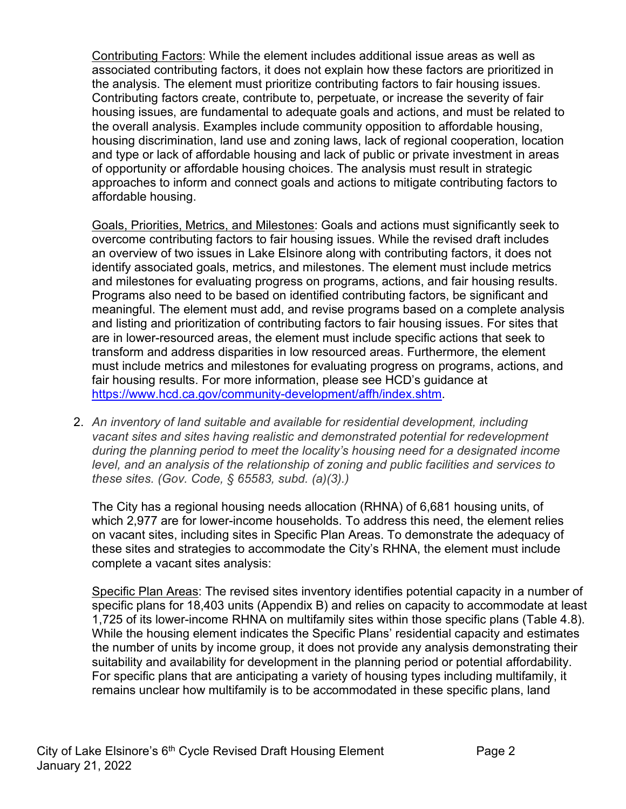Contributing Factors: While the element includes additional issue areas as well as associated contributing factors, it does not explain how these factors are prioritized in the analysis. The element must prioritize contributing factors to fair housing issues. Contributing factors create, contribute to, perpetuate, or increase the severity of fair housing issues, are fundamental to adequate goals and actions, and must be related to the overall analysis. Examples include community opposition to affordable housing, housing discrimination, land use and zoning laws, lack of regional cooperation, location and type or lack of affordable housing and lack of public or private investment in areas of opportunity or affordable housing choices. The analysis must result in strategic approaches to inform and connect goals and actions to mitigate contributing factors to affordable housing.

Goals, Priorities, Metrics, and Milestones: Goals and actions must significantly seek to overcome contributing factors to fair housing issues. While the revised draft includes an overview of two issues in Lake Elsinore along with contributing factors, it does not identify associated goals, metrics, and milestones. The element must include metrics and milestones for evaluating progress on programs, actions, and fair housing results. Programs also need to be based on identified contributing factors, be significant and meaningful. The element must add, and revise programs based on a complete analysis and listing and prioritization of contributing factors to fair housing issues. For sites that are in lower-resourced areas, the element must include specific actions that seek to transform and address disparities in low resourced areas. Furthermore, the element must include metrics and milestones for evaluating progress on programs, actions, and fair housing results. For more information, please see HCD's guidance at [https://www.hcd.ca.gov/community-development/affh/index.shtm.](https://www.hcd.ca.gov/community-development/affh/index.shtm)

2. *An inventory of land suitable and available for residential development, including vacant sites and sites having realistic and demonstrated potential for redevelopment during the planning period to meet the locality's housing need for a designated income level, and an analysis of the relationship of zoning and public facilities and services to these sites. (Gov. Code, § 65583, subd. (a)(3).)*

The City has a regional housing needs allocation (RHNA) of 6,681 housing units, of which 2,977 are for lower-income households. To address this need, the element relies on vacant sites, including sites in Specific Plan Areas. To demonstrate the adequacy of these sites and strategies to accommodate the City's RHNA, the element must include complete a vacant sites analysis:

Specific Plan Areas: The revised sites inventory identifies potential capacity in a number of specific plans for 18,403 units (Appendix B) and relies on capacity to accommodate at least 1,725 of its lower-income RHNA on multifamily sites within those specific plans (Table 4.8). While the housing element indicates the Specific Plans' residential capacity and estimates the number of units by income group, it does not provide any analysis demonstrating their suitability and availability for development in the planning period or potential affordability. For specific plans that are anticipating a variety of housing types including multifamily, it remains unclear how multifamily is to be accommodated in these specific plans, land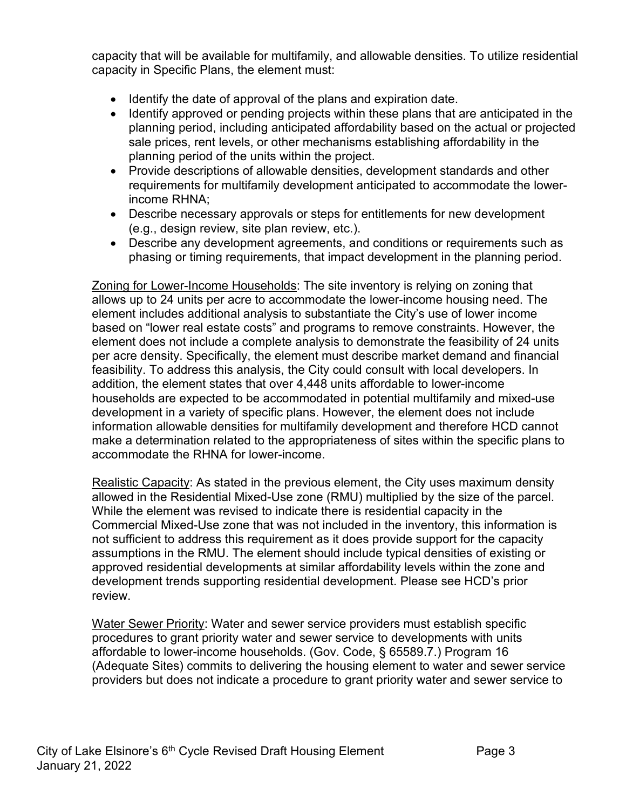capacity that will be available for multifamily, and allowable densities. To utilize residential capacity in Specific Plans, the element must:

- Identify the date of approval of the plans and expiration date.
- Identify approved or pending projects within these plans that are anticipated in the planning period, including anticipated affordability based on the actual or projected sale prices, rent levels, or other mechanisms establishing affordability in the planning period of the units within the project.
- Provide descriptions of allowable densities, development standards and other requirements for multifamily development anticipated to accommodate the lowerincome RHNA;
- Describe necessary approvals or steps for entitlements for new development (e.g., design review, site plan review, etc.).
- Describe any development agreements, and conditions or requirements such as phasing or timing requirements, that impact development in the planning period.

Zoning for Lower-Income Households: The site inventory is relying on zoning that allows up to 24 units per acre to accommodate the lower-income housing need. The element includes additional analysis to substantiate the City's use of lower income based on "lower real estate costs" and programs to remove constraints. However, the element does not include a complete analysis to demonstrate the feasibility of 24 units per acre density. Specifically, the element must describe market demand and financial feasibility. To address this analysis, the City could consult with local developers. In addition, the element states that over 4,448 units affordable to lower-income households are expected to be accommodated in potential multifamily and mixed-use development in a variety of specific plans. However, the element does not include information allowable densities for multifamily development and therefore HCD cannot make a determination related to the appropriateness of sites within the specific plans to accommodate the RHNA for lower-income.

Realistic Capacity: As stated in the previous element, the City uses maximum density allowed in the Residential Mixed-Use zone (RMU) multiplied by the size of the parcel. While the element was revised to indicate there is residential capacity in the Commercial Mixed-Use zone that was not included in the inventory, this information is not sufficient to address this requirement as it does provide support for the capacity assumptions in the RMU. The element should include typical densities of existing or approved residential developments at similar affordability levels within the zone and development trends supporting residential development. Please see HCD's prior review.

Water Sewer Priority: Water and sewer service providers must establish specific procedures to grant priority water and sewer service to developments with units affordable to lower-income households. (Gov. Code, § 65589.7.) Program 16 (Adequate Sites) commits to delivering the housing element to water and sewer service providers but does not indicate a procedure to grant priority water and sewer service to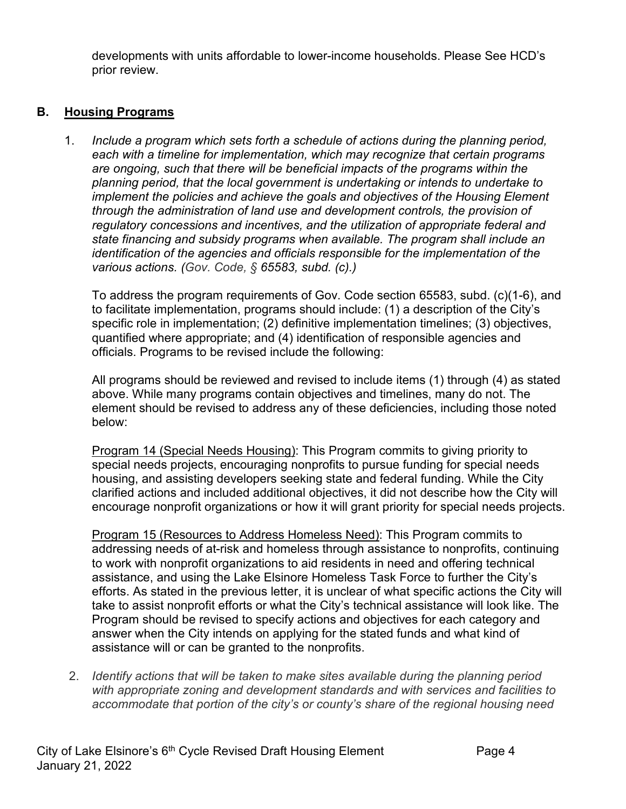developments with units affordable to lower-income households. Please See HCD's prior review.

# **B. Housing Programs**

1. *Include a program which sets forth a schedule of actions during the planning period, each with a timeline for implementation, which may recognize that certain programs are ongoing, such that there will be beneficial impacts of the programs within the planning period, that the local government is undertaking or intends to undertake to implement the policies and achieve the goals and objectives of the Housing Element through the administration of land use and development controls, the provision of regulatory concessions and incentives, and the utilization of appropriate federal and state financing and subsidy programs when available. The program shall include an identification of the agencies and officials responsible for the implementation of the various actions. (Gov. Code, § 65583, subd. (c).)*

To address the program requirements of Gov. Code section 65583, subd. (c)(1-6), and to facilitate implementation, programs should include: (1) a description of the City's specific role in implementation; (2) definitive implementation timelines; (3) objectives, quantified where appropriate; and (4) identification of responsible agencies and officials. Programs to be revised include the following:

All programs should be reviewed and revised to include items (1) through (4) as stated above. While many programs contain objectives and timelines, many do not. The element should be revised to address any of these deficiencies, including those noted below:

Program 14 (Special Needs Housing): This Program commits to giving priority to special needs projects, encouraging nonprofits to pursue funding for special needs housing, and assisting developers seeking state and federal funding. While the City clarified actions and included additional objectives, it did not describe how the City will encourage nonprofit organizations or how it will grant priority for special needs projects.

Program 15 (Resources to Address Homeless Need): This Program commits to addressing needs of at-risk and homeless through assistance to nonprofits, continuing to work with nonprofit organizations to aid residents in need and offering technical assistance, and using the Lake Elsinore Homeless Task Force to further the City's efforts. As stated in the previous letter, it is unclear of what specific actions the City will take to assist nonprofit efforts or what the City's technical assistance will look like. The Program should be revised to specify actions and objectives for each category and answer when the City intends on applying for the stated funds and what kind of assistance will or can be granted to the nonprofits.

2. *Identify actions that will be taken to make sites available during the planning period with appropriate zoning and development standards and with services and facilities to accommodate that portion of the city's or county's share of the regional housing need*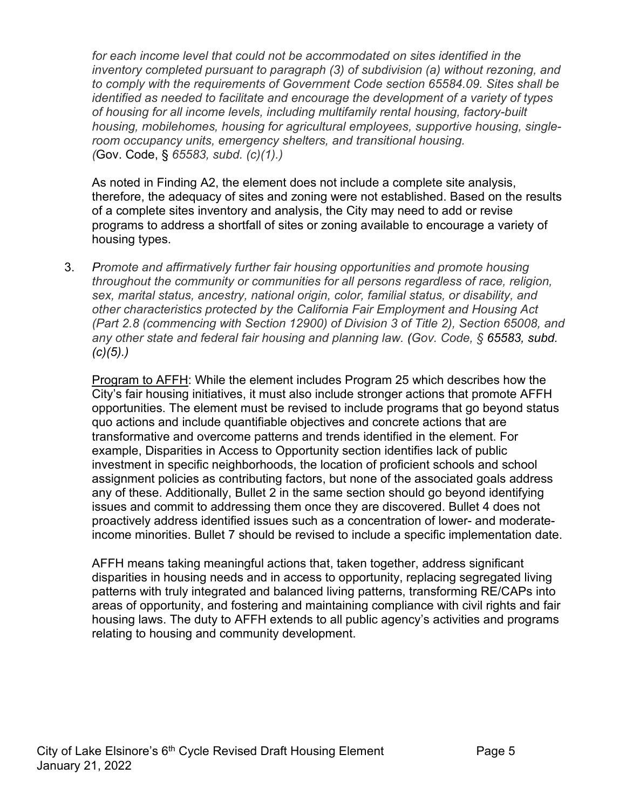for each income level that could not be accommodated on sites identified in the *inventory completed pursuant to paragraph (3) of subdivision (a) without rezoning, and to comply with the requirements of Government Code section 65584.09. Sites shall be identified as needed to facilitate and encourage the development of a variety of types of housing for all income levels, including multifamily rental housing, factory-built housing, mobilehomes, housing for agricultural employees, supportive housing, singleroom occupancy units, emergency shelters, and transitional housing. (*Gov. Code, § *65583, subd. (c)(1).)*

As noted in Finding A2, the element does not include a complete site analysis, therefore, the adequacy of sites and zoning were not established. Based on the results of a complete sites inventory and analysis, the City may need to add or revise programs to address a shortfall of sites or zoning available to encourage a variety of housing types.

3. *Promote and affirmatively further fair housing opportunities and promote housing throughout the community or communities for all persons regardless of race, religion, sex, marital status, ancestry, national origin, color, familial status, or disability, and other characteristics protected by the California Fair Employment and Housing Act (Part 2.8 (commencing with Section 12900) of Division 3 of Title 2), Section 65008, and any other state and federal fair housing and planning law. (Gov. Code, § 65583, subd. (c)(5).)*

Program to AFFH: While the element includes Program 25 which describes how the City's fair housing initiatives, it must also include stronger actions that promote AFFH opportunities. The element must be revised to include programs that go beyond status quo actions and include quantifiable objectives and concrete actions that are transformative and overcome patterns and trends identified in the element. For example, Disparities in Access to Opportunity section identifies lack of public investment in specific neighborhoods, the location of proficient schools and school assignment policies as contributing factors, but none of the associated goals address any of these. Additionally, Bullet 2 in the same section should go beyond identifying issues and commit to addressing them once they are discovered. Bullet 4 does not proactively address identified issues such as a concentration of lower- and moderateincome minorities. Bullet 7 should be revised to include a specific implementation date.

AFFH means taking meaningful actions that, taken together, address significant disparities in housing needs and in access to opportunity, replacing segregated living patterns with truly integrated and balanced living patterns, transforming RE/CAPs into areas of opportunity, and fostering and maintaining compliance with civil rights and fair housing laws. The duty to AFFH extends to all public agency's activities and programs relating to housing and community development.